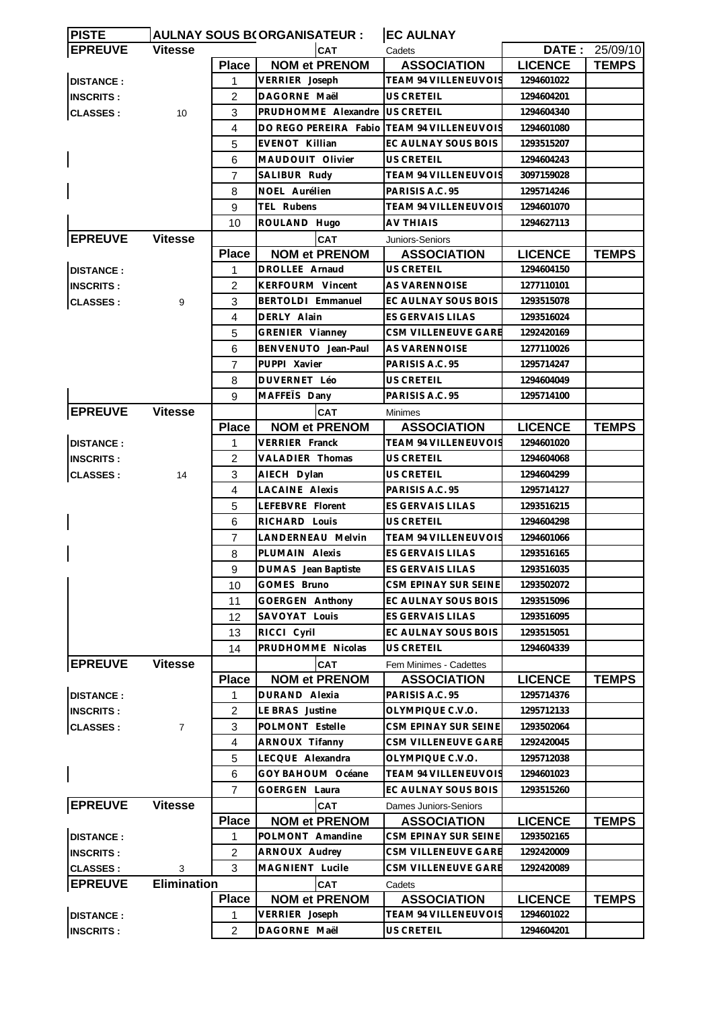| <b>PISTE</b>     |                    |                | <b>AULNAY SOUS B(ORGANISATEUR :</b>        | <b>EC AULNAY</b>            |                |                |
|------------------|--------------------|----------------|--------------------------------------------|-----------------------------|----------------|----------------|
| <b>EPREUVE</b>   | <b>Vitesse</b>     |                | <b>CAT</b>                                 | Cadets                      |                | DATE: 25/09/10 |
|                  |                    | <b>Place</b>   | <b>NOM et PRENOM</b>                       | <b>ASSOCIATION</b>          | <b>LICENCE</b> | <b>TEMPS</b>   |
| <b>DISTANCE:</b> |                    | 1              | VERRIER Joseph                             | <b>TEAM 94 VILLENEUVOIS</b> | 1294601022     |                |
| <b>INSCRITS:</b> |                    | $\overline{c}$ | DAGORNE Maël                               | US CRETEIL                  | 1294604201     |                |
| <b>CLASSES:</b>  | 10                 | 3              | PRUDHOMME Alexandre                        | <b>US CRETEIL</b>           | 1294604340     |                |
|                  |                    | 4              | DO REGO PEREIRA Fabio TEAM 94 VILLENEUVOIS |                             | 1294601080     |                |
|                  |                    | 5              | EVENOT Killian                             | EC AULNAY SOUS BOIS         | 1293515207     |                |
|                  |                    | 6              | MAUDOUIT Olivier                           | US CRETEIL                  | 1294604243     |                |
|                  |                    | 7              | SALIBUR Rudy                               | TEAM 94 VILLENEUVOIS        | 3097159028     |                |
|                  |                    | 8              | NOEL Aurélien                              | PARISIS A.C. 95             | 1295714246     |                |
|                  |                    | 9              | TEL Rubens                                 | TEAM 94 VILLENEUVOIS        | 1294601070     |                |
|                  |                    | 10             | ROULAND Hugo                               | AV THIAIS                   | 1294627113     |                |
| <b>EPREUVE</b>   | <b>Vitesse</b>     |                | <b>CAT</b>                                 | Juniors-Seniors             |                |                |
|                  |                    | <b>Place</b>   | <b>NOM et PRENOM</b>                       | <b>ASSOCIATION</b>          | <b>LICENCE</b> | <b>TEMPS</b>   |
| <b>DISTANCE:</b> |                    | 1              | DROLLEE Arnaud                             | US CRETEIL                  | 1294604150     |                |
| <b>INSCRITS:</b> |                    | 2              | KERFOURM Vincent                           | <b>AS VARENNOISE</b>        | 1277110101     |                |
| <b>CLASSES:</b>  | 9                  | 3              | BERTOLDI Emmanuel                          | EC AULNAY SOUS BOIS         | 1293515078     |                |
|                  |                    | 4              | DERLY Alain                                | <b>ES GERVAIS LILAS</b>     | 1293516024     |                |
|                  |                    | 5              | GRENIER Vianney                            | CSM VILLENEUVE GARE         | 1292420169     |                |
|                  |                    |                |                                            |                             |                |                |
|                  |                    | 6              | BENVENUTO Jean-Paul                        | AS VARENNOISE               | 1277110026     |                |
|                  |                    | $\overline{7}$ | PUPPI Xavier                               | PARISIS A.C. 95             | 1295714247     |                |
|                  |                    | 8              | DUVERNET Léo                               | <b>US CRETEIL</b>           | 1294604049     |                |
|                  |                    | 9              | MAFFEIS Dany                               | PARISIS A.C. 95             | 1295714100     |                |
| <b>EPREUVE</b>   | <b>Vitesse</b>     |                | <b>CAT</b>                                 | <b>Minimes</b>              |                |                |
|                  |                    | <b>Place</b>   | <b>NOM et PRENOM</b>                       | <b>ASSOCIATION</b>          | <b>LICENCE</b> | <b>TEMPS</b>   |
| <b>DISTANCE:</b> |                    | 1              | VERRIER Franck                             | TEAM 94 VILLENEUVOIS        | 1294601020     |                |
| <b>INSCRITS:</b> |                    | 2              | <b>VALADIER Thomas</b>                     | US CRETEIL                  | 1294604068     |                |
| <b>CLASSES:</b>  | 14                 | 3              | AIECH Dylan                                | US CRETEIL                  | 1294604299     |                |
|                  |                    | 4              | <b>LACAINE Alexis</b>                      | PARISIS A.C. 95             | 1295714127     |                |
|                  |                    | 5              | LEFEBVRE Florent                           | ES GERVAIS LILAS            | 1293516215     |                |
|                  |                    | 6              | RICHARD Louis                              | <b>US CRETEIL</b>           | 1294604298     |                |
|                  |                    | $\overline{7}$ | <b>LANDERNEAU Melvin</b>                   | TEAM 94 VILLENEUVOIS        | 1294601066     |                |
|                  |                    | 8              | PLUMAIN Alexis                             | ES GERVAIS LILAS            | 1293516165     |                |
|                  |                    | 9              | DUMAS Jean Baptiste                        | ES GERVAIS LILAS            | 1293516035     |                |
|                  |                    | 10             | GOMES Bruno                                | CSM EPINAY SUR SEINE        | 1293502072     |                |
|                  |                    | 11             | GOERGEN Anthony                            | EC AULNAY SOUS BOIS         | 1293515096     |                |
|                  |                    | 12             | SAVOYAT Louis                              | ES GERVAIS LILAS            | 1293516095     |                |
|                  |                    | 13             | RICCI Cyril                                | EC AULNAY SOUS BOIS         | 1293515051     |                |
|                  |                    | 14             | PRUDHOMME Nicolas                          | US CRETEIL                  | 1294604339     |                |
| <b>EPREUVE</b>   | <b>Vitesse</b>     |                | CAT                                        | Fem Minimes - Cadettes      |                |                |
|                  |                    | <b>Place</b>   | <b>NOM et PRENOM</b>                       | <b>ASSOCIATION</b>          | <b>LICENCE</b> | <b>TEMPS</b>   |
| <b>DISTANCE:</b> |                    | 1              | DURAND Alexia                              | PARISIS A.C. 95             | 1295714376     |                |
| <b>INSCRITS:</b> |                    | $\overline{2}$ | LE BRAS Justine                            | OLYMPIQUE C.V.O.            | 1295712133     |                |
| <b>CLASSES:</b>  | $\overline{7}$     | 3              | POLMONT Estelle                            | CSM EPINAY SUR SEINE        | 1293502064     |                |
|                  |                    | $\overline{4}$ | ARNOUX Tifanny                             | CSM VILLENEUVE GARE         | 1292420045     |                |
|                  |                    | 5              | LECQUE Alexandra                           | OLYMPIQUE C.V.O.            | 1295712038     |                |
|                  |                    | 6              | GOY BAHOUM Océane                          | <b>TEAM 94 VILLENEUVOIS</b> | 1294601023     |                |
|                  |                    |                |                                            |                             |                |                |
|                  |                    | 7              | <b>GOERGEN Laura</b>                       | EC AULNAY SOUS BOIS         | 1293515260     |                |
| <b>EPREUVE</b>   | <b>Vitesse</b>     |                | <b>CAT</b>                                 | Dames Juniors-Seniors       |                |                |
|                  |                    | <b>Place</b>   | <b>NOM et PRENOM</b>                       | <b>ASSOCIATION</b>          | <b>LICENCE</b> | <b>TEMPS</b>   |
| <b>DISTANCE:</b> |                    | 1              | POLMONT Amandine                           | CSM EPINAY SUR SEINE        | 1293502165     |                |
| <b>INSCRITS:</b> |                    | 2              | ARNOUX Audrey                              | CSM VILLENEUVE GARE         | 1292420009     |                |
| <b>CLASSES:</b>  | 3                  | 3              | MAGNIENT Lucile                            | CSM VILLENEUVE GARE         | 1292420089     |                |
| <b>EPREUVE</b>   | <b>Elimination</b> |                | CAT                                        | Cadets                      |                |                |
|                  |                    | <b>Place</b>   | <b>NOM et PRENOM</b>                       | <b>ASSOCIATION</b>          | <b>LICENCE</b> | <b>TEMPS</b>   |
| <b>DISTANCE:</b> |                    | 1              | VERRIER Joseph                             | <b>TEAM 94 VILLENEUVOIS</b> | 1294601022     |                |
| <b>INSCRITS:</b> |                    | 2              | DAGORNE Maël                               | US CRETEIL                  | 1294604201     |                |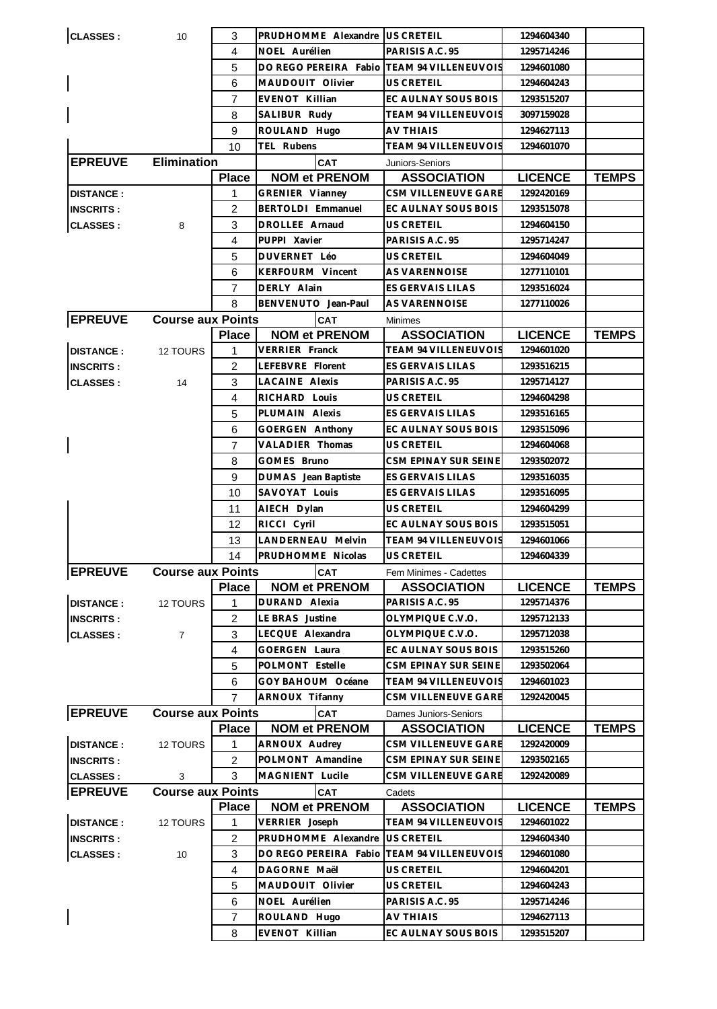| <b>CLASSES:</b>  | 10                       | 3              | PRUDHOMME Alexandre US CRETEIL |                              | 1294604340     |              |
|------------------|--------------------------|----------------|--------------------------------|------------------------------|----------------|--------------|
|                  |                          | 4              | NOEL Aurélien                  | PARISIS A.C. 95              | 1295714246     |              |
|                  |                          | 5              | DO REGO PEREIRA Fabio          | <b>TEAM 94 VILLENEUVOIS</b>  | 1294601080     |              |
|                  |                          | 6              | MAUDOUIT Olivier               | <b>US CRETEIL</b>            | 1294604243     |              |
|                  |                          | $\overline{7}$ | EVENOT Killian                 | EC AULNAY SOUS BOIS          | 1293515207     |              |
|                  |                          | 8              | SALIBUR Rudy                   | TEAM 94 VILLENEUVOIS         | 3097159028     |              |
|                  |                          | 9              | ROULAND Hugo                   | <b>AV THIAIS</b>             | 1294627113     |              |
|                  |                          | 10             | TEL Rubens                     | <b>TEAM 94 VILLENEUVOIS</b>  | 1294601070     |              |
|                  | <b>Elimination</b>       |                |                                |                              |                |              |
| <b>EPREUVE</b>   |                          |                | <b>CAT</b>                     | Juniors-Seniors              |                |              |
|                  |                          | <b>Place</b>   | <b>NOM et PRENOM</b>           | <b>ASSOCIATION</b>           | <b>LICENCE</b> | <b>TEMPS</b> |
| <b>DISTANCE:</b> |                          | 1              | GRENIER Vianney                | CSM VILLENEUVE GARE          | 1292420169     |              |
| <b>INSCRITS:</b> |                          | 2              | BERTOLDI Emmanuel              | EC AULNAY SOUS BOIS          | 1293515078     |              |
| <b>CLASSES:</b>  | 8                        | 3              | DROLLEE Arnaud                 | US CRETEIL                   | 1294604150     |              |
|                  |                          | 4              | PUPPI Xavier                   | PARISIS A.C. 95              | 1295714247     |              |
|                  |                          | 5              | DUVERNET Léo                   | <b>US CRETEIL</b>            | 1294604049     |              |
|                  |                          | 6              | <b>KERFOURM Vincent</b>        | <b>AS VARENNOISE</b>         | 1277110101     |              |
|                  |                          | 7              | DERLY Alain                    | ES GERVAIS LILAS             | 1293516024     |              |
|                  |                          | 8              | BENVENUTO Jean-Paul            | AS VARENNOISE                | 1277110026     |              |
| <b>EPREUVE</b>   | <b>Course aux Points</b> |                | CAT                            | <b>Minimes</b>               |                |              |
|                  |                          | <b>Place</b>   | <b>NOM et PRENOM</b>           | <b>ASSOCIATION</b>           | <b>LICENCE</b> | <b>TEMPS</b> |
| <b>DISTANCE:</b> | 12 TOURS                 | 1              | VERRIER Franck                 | TEAM 94 VILLENEUVOIS         | 1294601020     |              |
| <b>INSCRITS:</b> |                          | 2              | LEFEBVRE Florent               | <b>ES GERVAIS LILAS</b>      | 1293516215     |              |
| <b>CLASSES:</b>  | 14                       | 3              | <b>LACAINE Alexis</b>          | PARISIS A.C. 95              | 1295714127     |              |
|                  |                          | $\overline{4}$ | RICHARD Louis                  | US CRETEIL                   | 1294604298     |              |
|                  |                          | 5              | PLUMAIN Alexis                 | ES GERVAIS LILAS             | 1293516165     |              |
|                  |                          | 6              | GOERGEN Anthony                | EC AULNAY SOUS BOIS          | 1293515096     |              |
|                  |                          | 7              | VALADIER Thomas                | US CRETEIL                   | 1294604068     |              |
|                  |                          | 8              | GOMES Bruno                    | CSM EPINAY SUR SEINE         | 1293502072     |              |
|                  |                          | 9              | DUMAS Jean Baptiste            | ES GERVAIS LILAS             | 1293516035     |              |
|                  |                          | 10             | SAVOYAT Louis                  | ES GERVAIS LILAS             | 1293516095     |              |
|                  |                          | 11             | AIECH Dylan                    | US CRETEIL                   | 1294604299     |              |
|                  |                          | 12             | RICCI Cyril                    | EC AULNAY SOUS BOIS          | 1293515051     |              |
|                  |                          | 13             | LANDERNEAU Melvin              | TEAM 94 VILLENEUVOIS         | 1294601066     |              |
|                  |                          | 14             | PRUDHOMME Nicolas              | US CRETEIL                   | 1294604339     |              |
| <b>EPREUVE</b>   | <b>Course aux Points</b> |                | <b>CAT</b>                     | Fem Minimes - Cadettes       |                |              |
|                  |                          | <b>Place</b>   | <b>NOM et PRENOM</b>           | <b>ASSOCIATION</b>           | <b>LICENCE</b> | <b>TEMPS</b> |
| <b>DISTANCE:</b> | 12 TOURS                 | 1              | DURAND Alexia                  | PARISIS A.C. 95              | 1295714376     |              |
| <b>INSCRITS:</b> |                          | 2              | LE BRAS Justine                | OLYMPIQUE C.V.O.             | 1295712133     |              |
| <b>CLASSES:</b>  | $\overline{7}$           | 3              | LECQUE Alexandra               | OLYMPIQUE C.V.O.             | 1295712038     |              |
|                  |                          | 4              | GOERGEN Laura                  | EC AULNAY SOUS BOIS          | 1293515260     |              |
|                  |                          | 5              | POLMONT Estelle                | CSM EPINAY SUR SEINE         | 1293502064     |              |
|                  |                          | 6              | GOY BAHOUM Océane              | <b>TEAM 94 VILLENEUVOIS</b>  | 1294601023     |              |
|                  |                          | $\overline{7}$ | <b>ARNOUX Tifanny</b>          | CSM VILLENEUVE GARE          | 1292420045     |              |
| <b>EPREUVE</b>   | <b>Course aux Points</b> |                |                                |                              |                |              |
|                  |                          |                | <b>CAT</b>                     | <b>Dames Juniors-Seniors</b> |                |              |
|                  |                          | <b>Place</b>   | <b>NOM et PRENOM</b>           | <b>ASSOCIATION</b>           | <b>LICENCE</b> | <b>TEMPS</b> |
| <b>DISTANCE:</b> | 12 TOURS                 | 1              | ARNOUX Audrey                  | CSM VILLENEUVE GARE          | 1292420009     |              |
| <b>INSCRITS:</b> |                          | $\overline{c}$ | POLMONT Amandine               | CSM EPINAY SUR SEINE         | 1293502165     |              |
| <b>CLASSES:</b>  | 3                        | 3              | MAGNIENT Lucile                | <b>CSM VILLENEUVE GARE</b>   | 1292420089     |              |
| <b>EPREUVE</b>   | <b>Course aux Points</b> |                | <b>CAT</b>                     | Cadets                       |                |              |
|                  |                          | <b>Place</b>   | <b>NOM et PRENOM</b>           | <b>ASSOCIATION</b>           | <b>LICENCE</b> | <b>TEMPS</b> |
| <b>DISTANCE:</b> | 12 TOURS                 | 1              | VERRIER Joseph                 | <b>TEAM 94 VILLENEUVOIS</b>  | 1294601022     |              |
| <b>INSCRITS:</b> |                          |                |                                | <b>US CRETEIL</b>            | 1294604340     |              |
|                  |                          | $\overline{c}$ | PRUDHOMME Alexandre            |                              |                |              |
| <b>CLASSES:</b>  | 10                       | 3              | DO REGO PEREIRA Fabio          | TEAM 94 VILLENEUVOIS         | 1294601080     |              |
|                  |                          | 4              | DAGORNE Maël                   | US CRETEIL                   | 1294604201     |              |
|                  |                          | 5              | MAUDOUIT Olivier               | US CRETEIL                   | 1294604243     |              |
|                  |                          | 6              | NOEL Aurélien                  | PARISIS A.C. 95              | 1295714246     |              |
|                  |                          | $\overline{7}$ | ROULAND Hugo                   | <b>AV THIAIS</b>             | 1294627113     |              |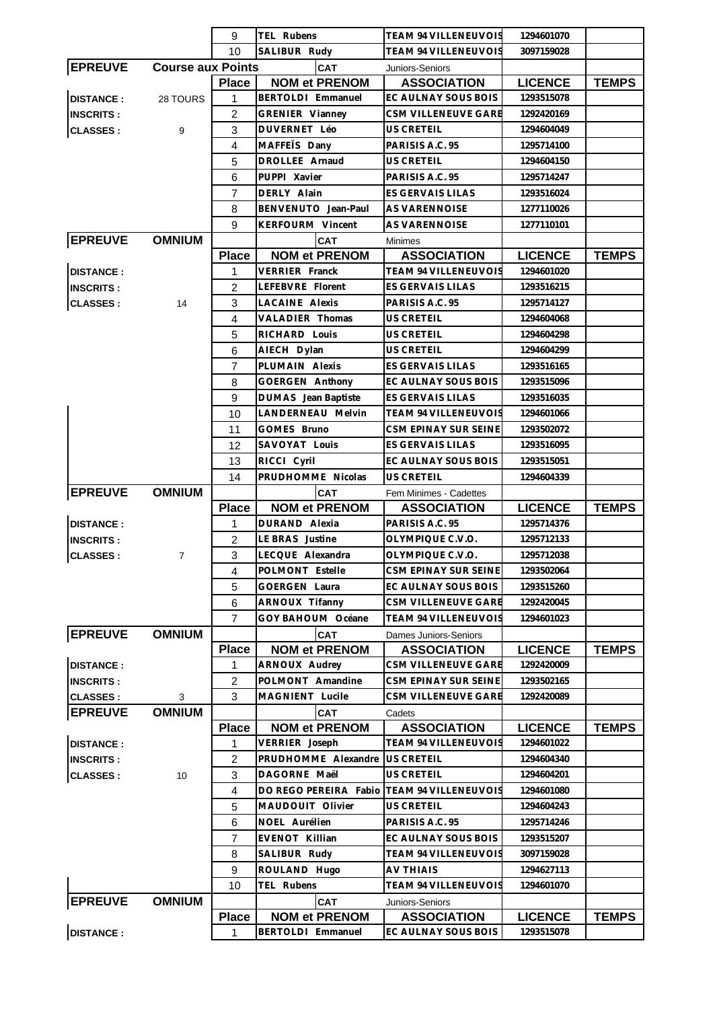|                  |                          | 9                   | TEL Rubens                                | TEAM 94 VILLENEUVOIS                       | 1294601070                   |              |
|------------------|--------------------------|---------------------|-------------------------------------------|--------------------------------------------|------------------------------|--------------|
|                  |                          | 10                  | SALIBUR Rudy                              | <b>TEAM 94 VILLENEUVOIS</b>                | 3097159028                   |              |
| <b>EPREUVE</b>   | <b>Course aux Points</b> |                     | <b>CAT</b>                                | Juniors-Seniors                            |                              |              |
|                  |                          | <b>Place</b>        | <b>NOM et PRENOM</b>                      | <b>ASSOCIATION</b>                         | <b>LICENCE</b>               | <b>TEMPS</b> |
| <b>DISTANCE:</b> | 28 TOURS                 | 1                   | BERTOLDI Emmanuel                         | EC AULNAY SOUS BOIS                        | 1293515078                   |              |
| <b>INSCRITS:</b> |                          | $\overline{2}$      | GRENIER Vianney                           | CSM VILLENEUVE GARE                        | 1292420169                   |              |
| <b>CLASSES:</b>  | 9                        | 3                   | DUVERNET Léo                              | US CRETEIL                                 | 1294604049                   |              |
|                  |                          | $\overline{4}$      | MAFFETS Dany                              | PARISIS A.C. 95                            | 1295714100                   |              |
|                  |                          | 5                   | DROLLEE Arnaud                            | US CRETEIL                                 | 1294604150                   |              |
|                  |                          | 6                   | PUPPI Xavier                              | PARISIS A.C. 95                            | 1295714247                   |              |
|                  |                          | $\overline{7}$      | DERLY Alain                               | ES GERVAIS LILAS                           | 1293516024                   |              |
|                  |                          | 8                   | BENVENUTO Jean-Paul                       | AS VARENNOISE                              | 1277110026                   |              |
|                  |                          | 9                   | KERFOURM Vincent                          | AS VARENNOISE                              | 1277110101                   |              |
| <b>EPREUVE</b>   | <b>OMNIUM</b>            |                     | CAT                                       | <b>Minimes</b>                             |                              |              |
|                  |                          | <b>Place</b>        | <b>NOM et PRENOM</b>                      | <b>ASSOCIATION</b>                         | <b>LICENCE</b>               | <b>TEMPS</b> |
| <b>DISTANCE:</b> |                          | 1                   | <b>VERRIER Franck</b>                     | <b>TEAM 94 VILLENEUVOIS</b>                | 1294601020                   |              |
| <b>INSCRITS:</b> |                          | 2                   | LEFEBVRE Florent                          | ES GERVAIS LILAS                           | 1293516215                   |              |
|                  | 14                       | 3                   | <b>LACAINE Alexis</b>                     | PARISIS A.C. 95                            | 1295714127                   |              |
| <b>CLASSES:</b>  |                          |                     | VALADIER Thomas                           | US CRETEIL                                 |                              |              |
|                  |                          | 4                   |                                           |                                            | 1294604068                   |              |
|                  |                          | 5                   | RICHARD Louis                             | US CRETEIL                                 | 1294604298                   |              |
|                  |                          | 6                   | AIECH Dylan                               | <b>US CRETEIL</b>                          | 1294604299                   |              |
|                  |                          | $\overline{7}$      | PLUMAIN Alexis                            | <b>ES GERVAIS LILAS</b>                    | 1293516165                   |              |
|                  |                          | 8                   | GOERGEN Anthony                           | EC AULNAY SOUS BOIS                        | 1293515096                   |              |
|                  |                          | 9                   | <b>DUMAS</b> Jean Baptiste                | ES GERVAIS LILAS                           | 1293516035                   |              |
|                  |                          | 10                  | LANDERNEAU Melvin                         | TEAM 94 VILLENEUVOIS                       | 1294601066                   |              |
|                  |                          | 11                  | GOMES Bruno                               | CSM EPINAY SUR SEINE                       | 1293502072                   |              |
|                  |                          | 12                  | SAVOYAT Louis                             | ES GERVAIS LILAS                           | 1293516095                   |              |
|                  |                          | 13                  | RICCI Cyril                               | EC AULNAY SOUS BOIS                        | 1293515051                   |              |
|                  |                          | 14                  | PRUDHOMME Nicolas                         | US CRETEIL                                 | 1294604339                   |              |
| <b>EPREUVE</b>   |                          |                     |                                           |                                            |                              |              |
|                  | <b>OMNIUM</b>            |                     | CAT                                       | Fem Minimes - Cadettes                     |                              |              |
|                  |                          | <b>Place</b>        | <b>NOM et PRENOM</b>                      | <b>ASSOCIATION</b>                         | <b>LICENCE</b>               | <b>TEMPS</b> |
| <b>DISTANCE:</b> |                          | 1                   | DURAND Alexia                             | PARISIS A.C. 95                            | 1295714376                   |              |
| <b>INSCRITS:</b> |                          | $\overline{2}$      | LE BRAS Justine                           | OLYMPIQUE C.V.O.                           | 1295712133                   |              |
| <b>CLASSES:</b>  | $\overline{7}$           | 3                   | LECQUE Alexandra                          | OLYMPIQUE C.V.O.                           | 1295712038                   |              |
|                  |                          | 4                   | POLMONT Estelle                           | CSM EPINAY SUR SEINE                       | 1293502064                   |              |
|                  |                          | 5                   | <b>GOERGEN Laura</b>                      | EC AULNAY SOUS BOIS                        | 1293515260                   |              |
|                  |                          | 6                   | ARNOUX Tifanny                            | CSM VILLENEUVE GARE                        | 1292420045                   |              |
|                  |                          | 7                   | GOY BAHOUM Océane                         | <b>TEAM 94 VILLENEUVOIS</b>                | 1294601023                   |              |
|                  | <b>OMNIUM</b>            |                     | <b>CAT</b>                                | Dames Juniors-Seniors                      |                              |              |
| <b>EPREUVE</b>   |                          | <b>Place</b>        | <b>NOM et PRENOM</b>                      | <b>ASSOCIATION</b>                         | <b>LICENCE</b>               | <b>TEMPS</b> |
| <b>DISTANCE:</b> |                          | 1                   | <b>ARNOUX Audrey</b>                      | CSM VILLENEUVE GARE                        | 1292420009                   |              |
| <b>INSCRITS:</b> |                          |                     | POLMONT Amandine                          | CSM EPINAY SUR SEINE                       | 1293502165                   |              |
|                  | 3                        | $\overline{c}$<br>3 | MAGNIENT Lucile                           | CSM VILLENEUVE GARE                        | 1292420089                   |              |
| <b>CLASSES:</b>  |                          |                     | <b>CAT</b>                                | Cadets                                     |                              |              |
| <b>EPREUVE</b>   | <b>OMNIUM</b>            |                     |                                           |                                            |                              |              |
|                  |                          | <b>Place</b><br>1   | <b>NOM et PRENOM</b><br>VERRIER Joseph    | <b>ASSOCIATION</b><br>TEAM 94 VILLENEUVOIS | <b>LICENCE</b><br>1294601022 | <b>TEMPS</b> |
| <b>DISTANCE:</b> |                          |                     |                                           |                                            |                              |              |
| <b>INSCRITS:</b> |                          | 2                   | PRUDHOMME Alexandre                       | US CRETEIL                                 | 1294604340                   |              |
| <b>CLASSES:</b>  | 10                       | 3                   | DAGORNE Maël                              | <b>US CRETEIL</b>                          | 1294604201                   |              |
|                  |                          | 4                   | DO REGO PEREIRA Fabio                     | <b>TEAM 94 VILLENEUVOIS</b>                | 1294601080                   |              |
|                  |                          | 5                   | MAUDOUIT Olivier                          | <b>US CRETEIL</b>                          | 1294604243                   |              |
|                  |                          | 6                   | NOEL Aurélien                             | PARISIS A.C. 95                            | 1295714246                   |              |
|                  |                          | 7                   | EVENOT Killian                            | EC AULNAY SOUS BOIS                        | 1293515207                   |              |
|                  |                          | 8                   | SALIBUR Rudy                              | TEAM 94 VILLENEUVOIS                       | 3097159028                   |              |
|                  |                          | 9                   | ROULAND Hugo                              | <b>AV THIAIS</b>                           | 1294627113                   |              |
|                  |                          | 10                  | TEL Rubens                                | TEAM 94 VILLENEUVOIS                       | 1294601070                   |              |
| <b>EPREUVE</b>   | <b>OMNIUM</b>            |                     | <b>CAT</b>                                | Juniors-Seniors                            |                              |              |
| <b>DISTANCE:</b> |                          | <b>Place</b><br>1   | <b>NOM et PRENOM</b><br>BERTOLDI Emmanuel | <b>ASSOCIATION</b><br>EC AULNAY SOUS BOIS  | <b>LICENCE</b><br>1293515078 | <b>TEMPS</b> |